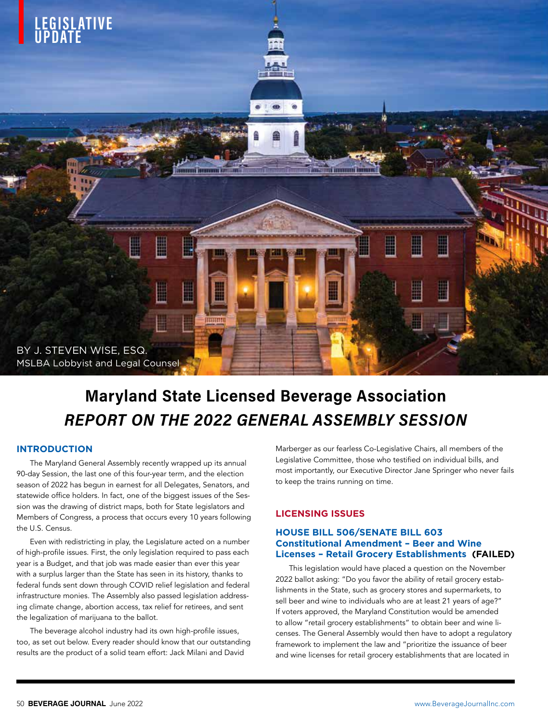

# Maryland State Licensed Beverage Association REPORT ON THE 2022 GENERAL ASSEMBLY SESSION

### **INTRODUCTION**

The Maryland General Assembly recently wrapped up its annual 90-day Session, the last one of this four-year term, and the election season of 2022 has begun in earnest for all Delegates, Senators, and statewide office holders. In fact, one of the biggest issues of the Session was the drawing of district maps, both for State legislators and Members of Congress, a process that occurs every 10 years following the U.S. Census.

Even with redistricting in play, the Legislature acted on a number of high-profile issues. First, the only legislation required to pass each year is a Budget, and that job was made easier than ever this year with a surplus larger than the State has seen in its history, thanks to federal funds sent down through COVID relief legislation and federal infrastructure monies. The Assembly also passed legislation addressing climate change, abortion access, tax relief for retirees, and sent the legalization of marijuana to the ballot.

The beverage alcohol industry had its own high-profile issues, too, as set out below. Every reader should know that our outstanding results are the product of a solid team effort: Jack Milani and David

Marberger as our fearless Co-Legislative Chairs, all members of the Legislative Committee, those who testified on individual bills, and most importantly, our Executive Director Jane Springer who never fails to keep the trains running on time.

## **LICENSING ISSUES**

#### **HOUSE BILL 506/SENATE BILL 603 Constitutional Amendment – Beer and Wine Licenses – Retail Grocery Establishments (FAILED)**

This legislation would have placed a question on the November 2022 ballot asking: "Do you favor the ability of retail grocery establishments in the State, such as grocery stores and supermarkets, to sell beer and wine to individuals who are at least 21 years of age?" If voters approved, the Maryland Constitution would be amended to allow "retail grocery establishments" to obtain beer and wine licenses. The General Assembly would then have to adopt a regulatory framework to implement the law and "prioritize the issuance of beer and wine licenses for retail grocery establishments that are located in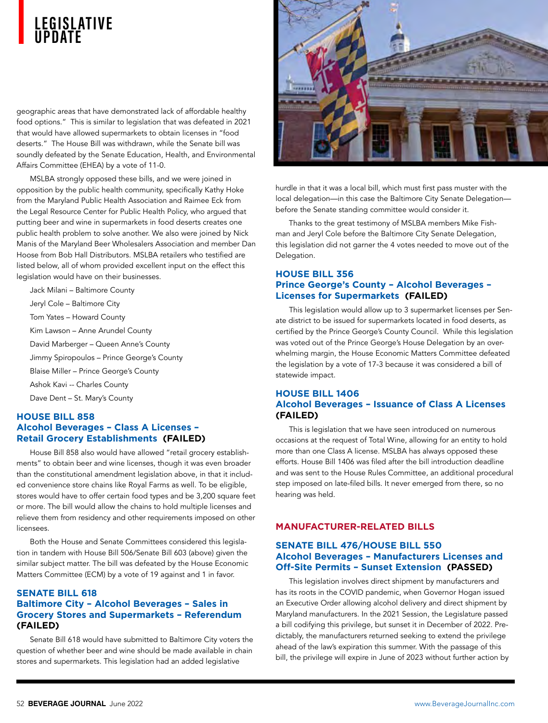## **L E G I S L AT I V E UPDATE**

geographic areas that have demonstrated lack of affordable healthy food options." This is similar to legislation that was defeated in 2021 that would have allowed supermarkets to obtain licenses in "food deserts." The House Bill was withdrawn, while the Senate bill was soundly defeated by the Senate Education, Health, and Environmental Affairs Committee (EHEA) by a vote of 11-0.

MSLBA strongly opposed these bills, and we were joined in opposition by the public health community, specifically Kathy Hoke from the Maryland Public Health Association and Raimee Eck from the Legal Resource Center for Public Health Policy, who argued that putting beer and wine in supermarkets in food deserts creates one public health problem to solve another. We also were joined by Nick Manis of the Maryland Beer Wholesalers Association and member Dan Hoose from Bob Hall Distributors. MSLBA retailers who testified are listed below, all of whom provided excellent input on the effect this legislation would have on their businesses.

Jack Milani – Baltimore County Jeryl Cole – Baltimore City Tom Yates – Howard County Kim Lawson – Anne Arundel County David Marberger – Queen Anne's County Jimmy Spiropoulos – Prince George's County Blaise Miller – Prince George's County Ashok Kavi -- Charles County Dave Dent – St. Mary's County

## **HOUSE BILL 858 Alcohol Beverages – Class A Licenses – Retail Grocery Establishments (FAILED)**

House Bill 858 also would have allowed "retail grocery establishments" to obtain beer and wine licenses, though it was even broader than the constitutional amendment legislation above, in that it included convenience store chains like Royal Farms as well. To be eligible, stores would have to offer certain food types and be 3,200 square feet or more. The bill would allow the chains to hold multiple licenses and relieve them from residency and other requirements imposed on other licensees.

Both the House and Senate Committees considered this legislation in tandem with House Bill 506/Senate Bill 603 (above) given the similar subject matter. The bill was defeated by the House Economic Matters Committee (ECM) by a vote of 19 against and 1 in favor.

## **SENATE BILL 618 Baltimore City – Alcohol Beverages – Sales in Grocery Stores and Supermarkets – Referendum (FAILED)**

Senate Bill 618 would have submitted to Baltimore City voters the question of whether beer and wine should be made available in chain stores and supermarkets. This legislation had an added legislative



hurdle in that it was a local bill, which must first pass muster with the local delegation—in this case the Baltimore City Senate Delegation before the Senate standing committee would consider it.

Thanks to the great testimony of MSLBA members Mike Fishman and Jeryl Cole before the Baltimore City Senate Delegation, this legislation did not garner the 4 votes needed to move out of the Delegation.

## **HOUSE BILL 356 Prince George's County – Alcohol Beverages – Licenses for Supermarkets (FAILED)**

This legislation would allow up to 3 supermarket licenses per Senate district to be issued for supermarkets located in food deserts, as certified by the Prince George's County Council. While this legislation was voted out of the Prince George's House Delegation by an overwhelming margin, the House Economic Matters Committee defeated the legislation by a vote of 17-3 because it was considered a bill of statewide impact.

## **HOUSE BILL 1406 Alcohol Beverages – Issuance of Class A Licenses (FAILED)**

This is legislation that we have seen introduced on numerous occasions at the request of Total Wine, allowing for an entity to hold more than one Class A license. MSLBA has always opposed these efforts. House Bill 1406 was filed after the bill introduction deadline and was sent to the House Rules Committee, an additional procedural step imposed on late-filed bills. It never emerged from there, so no hearing was held.

## **MANUFACTURER-RELATED BILLS**

## **SENATE BILL 476/HOUSE BILL 550 Alcohol Beverages – Manufacturers Licenses and Off-Site Permits – Sunset Extension (PASSED)**

This legislation involves direct shipment by manufacturers and has its roots in the COVID pandemic, when Governor Hogan issued an Executive Order allowing alcohol delivery and direct shipment by Maryland manufacturers. In the 2021 Session, the Legislature passed a bill codifying this privilege, but sunset it in December of 2022. Predictably, the manufacturers returned seeking to extend the privilege ahead of the law's expiration this summer. With the passage of this bill, the privilege will expire in June of 2023 without further action by